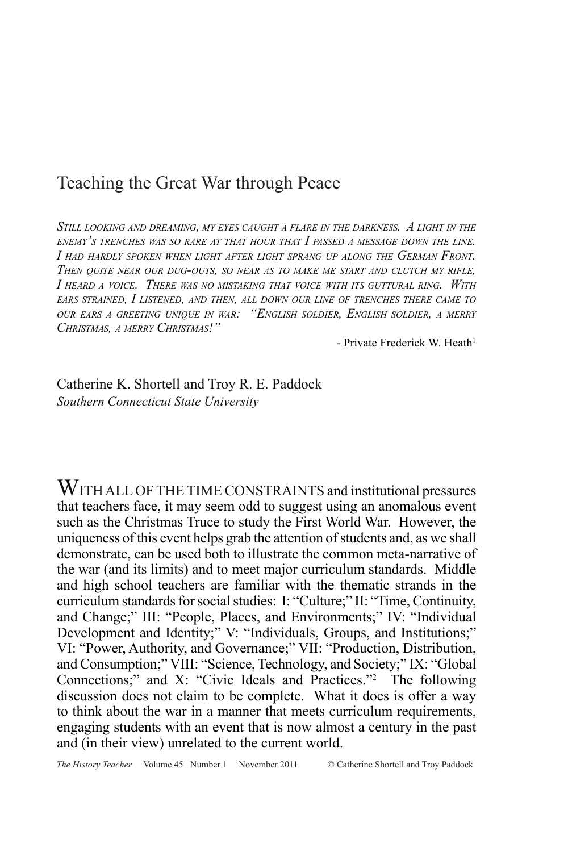# Teaching the Great War through Peace

*Still looking and dreaming, my eyes caught <sup>a</sup> flare in the darkness. A light in the enemy's trenches was so rare at that hour that I passed <sup>a</sup> message down the line. I had hardly spoken when light after light sprang up along the German Front. Then quite near our dug-outs, so near as to make me start and clutch my rifle, I heard <sup>a</sup> voice. There was no mistaking that voice with its guttural ring. With ears strained, I listened, and then, all down our line of trenches there came to our ears <sup>a</sup> greeting unique in war: "English soldier, English soldier, a merry Christmas, a merry Christmas!"*

- Private Frederick W. Heath<sup>1</sup>

Catherine K. Shortell and Troy R. E. Paddock *Southern Connecticut State University*

WITH ALL OF THE TIME CONSTRAINTS and institutional pressures that teachers face, it may seem odd to suggest using an anomalous event such as the Christmas Truce to study the First World War. However, the uniqueness of this event helps grab the attention of students and, as we shall demonstrate, can be used both to illustrate the common meta-narrative of the war (and its limits) and to meet major curriculum standards. Middle and high school teachers are familiar with the thematic strands in the curriculum standards for social studies: I: "Culture;" II: "Time, Continuity, and Change;" III: "People, Places, and Environments;" IV: "Individual Development and Identity;" V: "Individuals, Groups, and Institutions;" VI: "Power, Authority, and Governance;" VII: "Production, Distribution, and Consumption;" VIII: "Science, Technology, and Society;" IX: "Global Connections;" and X: "Civic Ideals and Practices."2 The following discussion does not claim to be complete. What it does is offer a way to think about the war in a manner that meets curriculum requirements, engaging students with an event that is now almost a century in the past and (in their view) unrelated to the current world.

*The History Teacher* Volume 45 Number 1 November 2011 © Catherine Shortell and Troy Paddock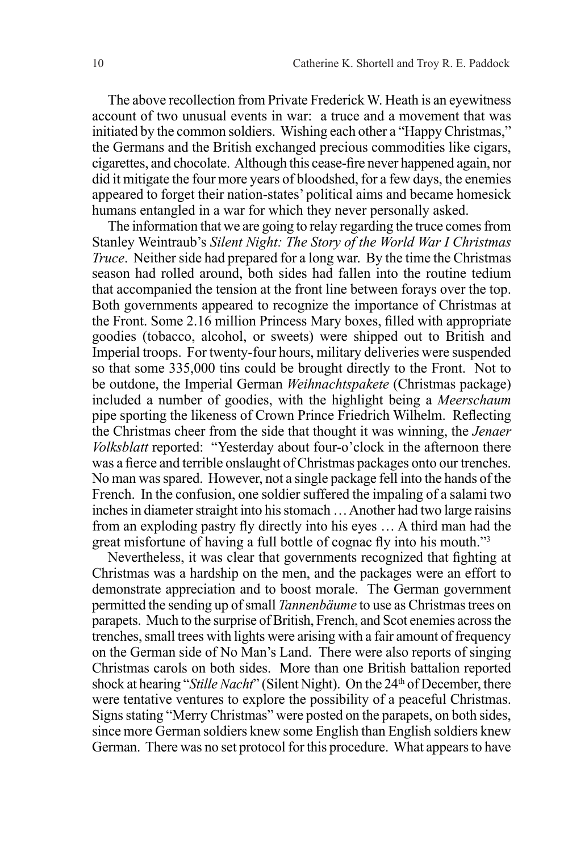The above recollection from Private Frederick W. Heath is an eyewitness account of two unusual events in war: a truce and a movement that was initiated by the common soldiers. Wishing each other a "Happy Christmas," the Germans and the British exchanged precious commodities like cigars, cigarettes, and chocolate. Although this cease-fire never happened again, nor did it mitigate the four more years of bloodshed, for a few days, the enemies appeared to forget their nation-states' political aims and became homesick humans entangled in a war for which they never personally asked.

The information that we are going to relay regarding the truce comes from Stanley Weintraub's *Silent Night: The Story of the World War I Christmas Truce*. Neither side had prepared for a long war. By the time the Christmas season had rolled around, both sides had fallen into the routine tedium that accompanied the tension at the front line between forays over the top. Both governments appeared to recognize the importance of Christmas at the Front. Some 2.16 million Princess Mary boxes, filled with appropriate goodies (tobacco, alcohol, or sweets) were shipped out to British and Imperial troops. For twenty-four hours, military deliveries were suspended so that some 335,000 tins could be brought directly to the Front. Not to be outdone, the Imperial German *Weihnachtspakete* (Christmas package) included a number of goodies, with the highlight being a *Meerschaum* pipe sporting the likeness of Crown Prince Friedrich Wilhelm. Reflecting the Christmas cheer from the side that thought it was winning, the *Jenaer Volksblatt* reported: "Yesterday about four-o'clock in the afternoon there was a fierce and terrible onslaught of Christmas packages onto our trenches. No man was spared. However, not a single package fell into the hands of the French. In the confusion, one soldier suffered the impaling of a salami two inches in diameter straight into his stomach … Another had two large raisins from an exploding pastry fly directly into his eyes … A third man had the great misfortune of having a full bottle of cognac fly into his mouth."<sup>3</sup>

Nevertheless, it was clear that governments recognized that fighting at Christmas was a hardship on the men, and the packages were an effort to demonstrate appreciation and to boost morale. The German government permitted the sending up of small *Tannenbäume* to use as Christmas trees on parapets. Much to the surprise of British, French, and Scot enemies across the trenches, small trees with lights were arising with a fair amount of frequency on the German side of No Man's Land. There were also reports of singing Christmas carols on both sides. More than one British battalion reported shock at hearing "*Stille Nacht*" (Silent Night). On the 24<sup>th</sup> of December, there were tentative ventures to explore the possibility of a peaceful Christmas. Signs stating "Merry Christmas" were posted on the parapets, on both sides, since more German soldiers knew some English than English soldiers knew German. There was no set protocol for this procedure. What appears to have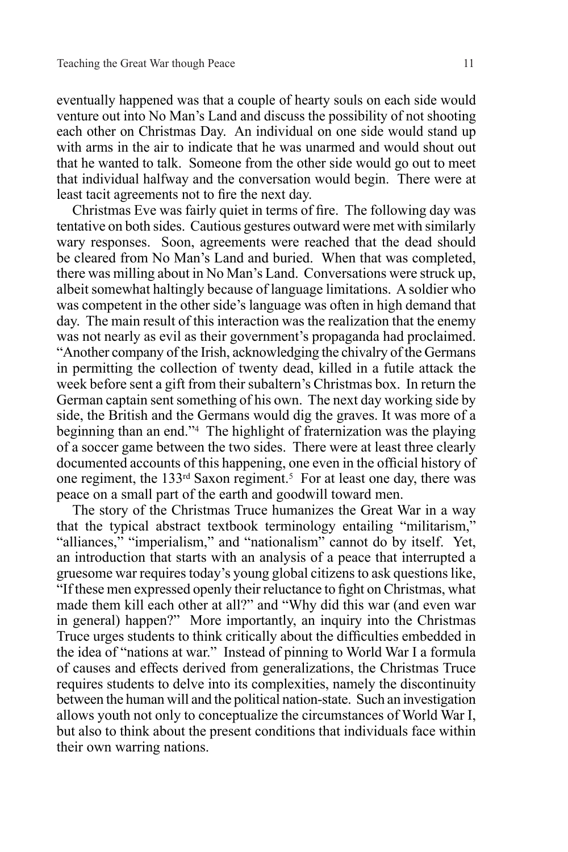eventually happened was that a couple of hearty souls on each side would venture out into No Man's Land and discuss the possibility of not shooting each other on Christmas Day. An individual on one side would stand up with arms in the air to indicate that he was unarmed and would shout out that he wanted to talk. Someone from the other side would go out to meet that individual halfway and the conversation would begin. There were at least tacit agreements not to fire the next day.

Christmas Eve was fairly quiet in terms of fire. The following day was tentative on both sides. Cautious gestures outward were met with similarly wary responses. Soon, agreements were reached that the dead should be cleared from No Man's Land and buried. When that was completed, there was milling about in No Man's Land. Conversations were struck up, albeit somewhat haltingly because of language limitations. A soldier who was competent in the other side's language was often in high demand that day. The main result of this interaction was the realization that the enemy was not nearly as evil as their government's propaganda had proclaimed. "Another company of the Irish, acknowledging the chivalry of the Germans in permitting the collection of twenty dead, killed in a futile attack the week before sent a gift from their subaltern's Christmas box. In return the German captain sent something of his own. The next day working side by side, the British and the Germans would dig the graves. It was more of a beginning than an end."4 The highlight of fraternization was the playing of a soccer game between the two sides. There were at least three clearly documented accounts of this happening, one even in the official history of one regiment, the 133<sup>rd</sup> Saxon regiment.<sup>5</sup> For at least one day, there was peace on a small part of the earth and goodwill toward men.

The story of the Christmas Truce humanizes the Great War in a way that the typical abstract textbook terminology entailing "militarism," "alliances," "imperialism," and "nationalism" cannot do by itself. Yet, an introduction that starts with an analysis of a peace that interrupted a gruesome war requires today's young global citizens to ask questions like, "If these men expressed openly their reluctance to fight on Christmas, what made them kill each other at all?" and "Why did this war (and even war in general) happen?" More importantly, an inquiry into the Christmas Truce urges students to think critically about the difficulties embedded in the idea of "nations at war." Instead of pinning to World War I a formula of causes and effects derived from generalizations, the Christmas Truce requires students to delve into its complexities, namely the discontinuity between the human will and the political nation-state. Such an investigation allows youth not only to conceptualize the circumstances of World War I, but also to think about the present conditions that individuals face within their own warring nations.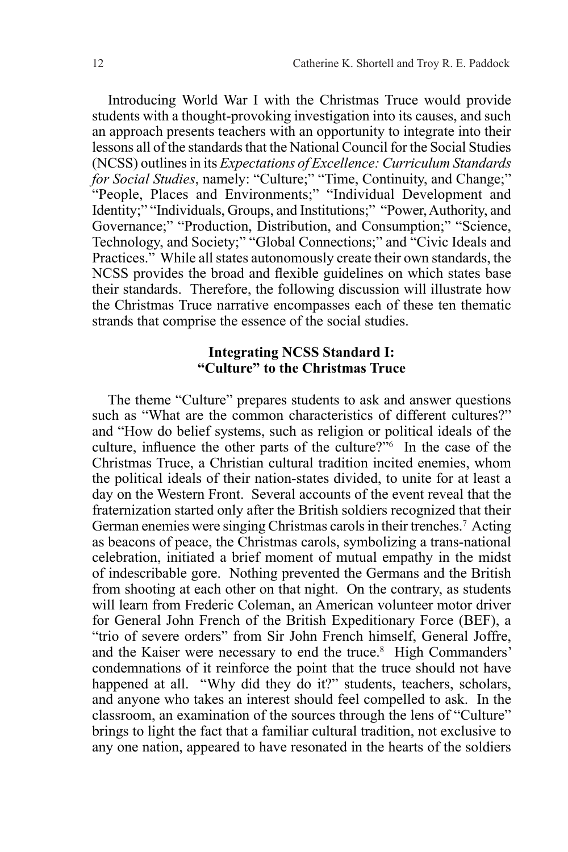Introducing World War I with the Christmas Truce would provide students with a thought-provoking investigation into its causes, and such an approach presents teachers with an opportunity to integrate into their lessons all of the standards that the National Council for the Social Studies (NCSS) outlines in its *Expectations of Excellence: Curriculum Standards for Social Studies*, namely: "Culture;" "Time, Continuity, and Change;" "People, Places and Environments;" "Individual Development and Identity;" "Individuals, Groups, and Institutions;" "Power, Authority, and Governance;" "Production, Distribution, and Consumption;" "Science, Technology, and Society;" "Global Connections;" and "Civic Ideals and Practices." While all states autonomously create their own standards, the NCSS provides the broad and flexible guidelines on which states base their standards. Therefore, the following discussion will illustrate how the Christmas Truce narrative encompasses each of these ten thematic strands that comprise the essence of the social studies.

# **Integrating NCSS Standard I: "Culture" to the Christmas Truce**

The theme "Culture" prepares students to ask and answer questions such as "What are the common characteristics of different cultures?" and "How do belief systems, such as religion or political ideals of the culture, influence the other parts of the culture? $\dot{r}$ <sup>6</sup> In the case of the Christmas Truce, a Christian cultural tradition incited enemies, whom the political ideals of their nation-states divided, to unite for at least a day on the Western Front. Several accounts of the event reveal that the fraternization started only after the British soldiers recognized that their German enemies were singing Christmas carols in their trenches.7 Acting as beacons of peace, the Christmas carols, symbolizing a trans-national celebration, initiated a brief moment of mutual empathy in the midst of indescribable gore. Nothing prevented the Germans and the British from shooting at each other on that night. On the contrary, as students will learn from Frederic Coleman, an American volunteer motor driver for General John French of the British Expeditionary Force (BEF), a "trio of severe orders" from Sir John French himself, General Joffre, and the Kaiser were necessary to end the truce.<sup>8</sup> High Commanders' condemnations of it reinforce the point that the truce should not have happened at all. "Why did they do it?" students, teachers, scholars, and anyone who takes an interest should feel compelled to ask. In the classroom, an examination of the sources through the lens of "Culture" brings to light the fact that a familiar cultural tradition, not exclusive to any one nation, appeared to have resonated in the hearts of the soldiers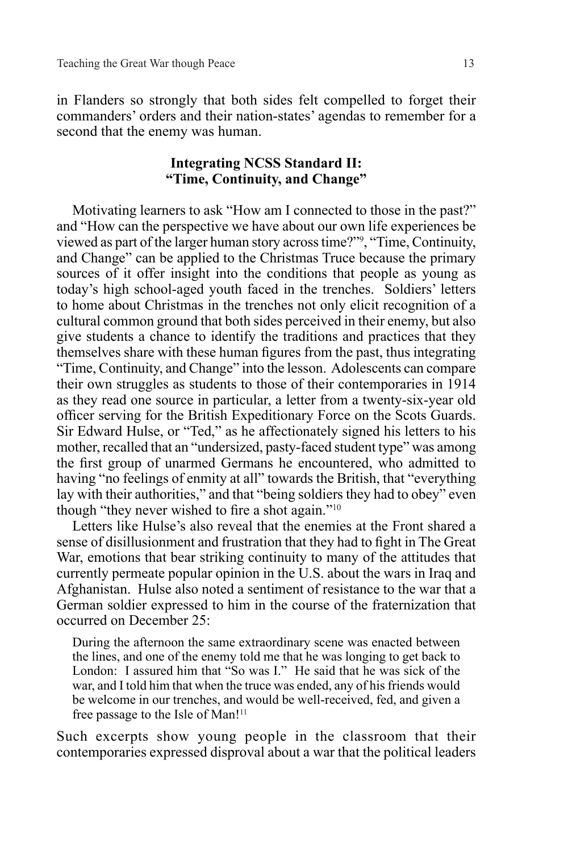in Flanders so strongly that both sides felt compelled to forget their commanders' orders and their nation-states' agendas to remember for a second that the enemy was human.

# **Integrating NCSS Standard II: "Time, Continuity, and Change"**

Motivating learners to ask "How am I connected to those in the past?" and "How can the perspective we have about our own life experiences be viewed as part of the larger human story across time?"9 , "Time, Continuity, and Change" can be applied to the Christmas Truce because the primary sources of it offer insight into the conditions that people as young as today's high school-aged youth faced in the trenches. Soldiers' letters to home about Christmas in the trenches not only elicit recognition of a cultural common ground that both sides perceived in their enemy, but also give students a chance to identify the traditions and practices that they themselves share with these human figures from the past, thus integrating "Time, Continuity, and Change" into the lesson. Adolescents can compare their own struggles as students to those of their contemporaries in 1914 as they read one source in particular, a letter from a twenty-six-year old officer serving for the British Expeditionary Force on the Scots Guards. Sir Edward Hulse, or "Ted," as he affectionately signed his letters to his mother, recalled that an "undersized, pasty-faced student type" was among the first group of unarmed Germans he encountered, who admitted to having "no feelings of enmity at all" towards the British, that "everything lay with their authorities," and that "being soldiers they had to obey" even though "they never wished to fire a shot again."<sup>10</sup>

Letters like Hulse's also reveal that the enemies at the Front shared a sense of disillusionment and frustration that they had to fight in The Great War, emotions that bear striking continuity to many of the attitudes that currently permeate popular opinion in the U.S. about the wars in Iraq and Afghanistan. Hulse also noted a sentiment of resistance to the war that a German soldier expressed to him in the course of the fraternization that occurred on December 25:

During the afternoon the same extraordinary scene was enacted between the lines, and one of the enemy told me that he was longing to get back to London: I assured him that "So was I." He said that he was sick of the war, and I told him that when the truce was ended, any of his friends would be welcome in our trenches, and would be well-received, fed, and given a free passage to the Isle of Man!11

Such excerpts show young people in the classroom that their contemporaries expressed disproval about a war that the political leaders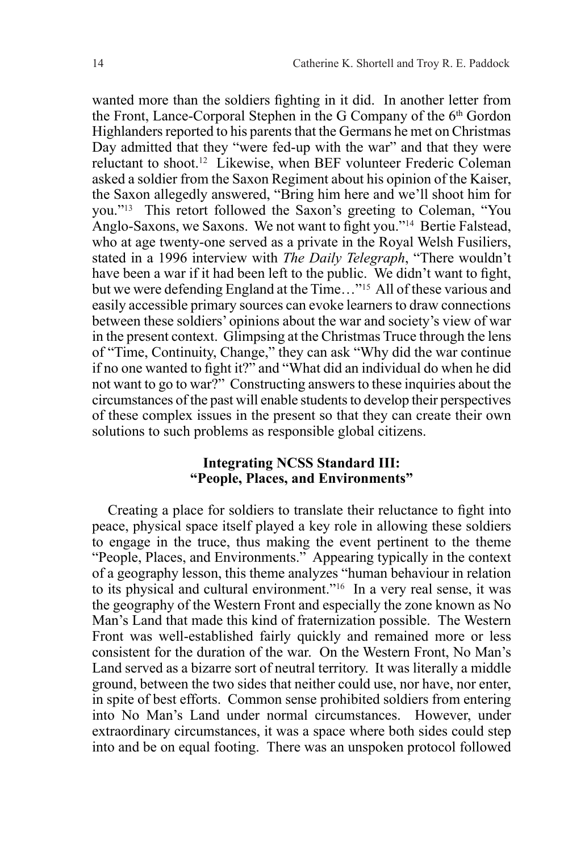wanted more than the soldiers fighting in it did. In another letter from the Front, Lance-Corporal Stephen in the G Company of the 6th Gordon Highlanders reported to his parents that the Germans he met on Christmas Day admitted that they "were fed-up with the war" and that they were reluctant to shoot.12 Likewise, when BEF volunteer Frederic Coleman asked a soldier from the Saxon Regiment about his opinion of the Kaiser, the Saxon allegedly answered, "Bring him here and we'll shoot him for you."13 This retort followed the Saxon's greeting to Coleman, "You Anglo-Saxons, we Saxons. We not want to fight you."14 Bertie Falstead, who at age twenty-one served as a private in the Royal Welsh Fusiliers, stated in a 1996 interview with *The Daily Telegraph*, "There wouldn't have been a war if it had been left to the public. We didn't want to fight, but we were defending England at the Time…"15 All of these various and easily accessible primary sources can evoke learners to draw connections between these soldiers' opinions about the war and society's view of war in the present context. Glimpsing at the Christmas Truce through the lens of "Time, Continuity, Change," they can ask "Why did the war continue if no one wanted to fight it?" and "What did an individual do when he did not want to go to war?" Constructing answers to these inquiries about the circumstances of the past will enable students to develop their perspectives of these complex issues in the present so that they can create their own solutions to such problems as responsible global citizens.

# **Integrating NCSS Standard III: "People, Places, and Environments"**

Creating a place for soldiers to translate their reluctance to fight into peace, physical space itself played a key role in allowing these soldiers to engage in the truce, thus making the event pertinent to the theme "People, Places, and Environments." Appearing typically in the context of a geography lesson, this theme analyzes "human behaviour in relation to its physical and cultural environment."16 In a very real sense, it was the geography of the Western Front and especially the zone known as No Man's Land that made this kind of fraternization possible. The Western Front was well-established fairly quickly and remained more or less consistent for the duration of the war. On the Western Front, No Man's Land served as a bizarre sort of neutral territory. It was literally a middle ground, between the two sides that neither could use, nor have, nor enter, in spite of best efforts. Common sense prohibited soldiers from entering into No Man's Land under normal circumstances. However, under extraordinary circumstances, it was a space where both sides could step into and be on equal footing. There was an unspoken protocol followed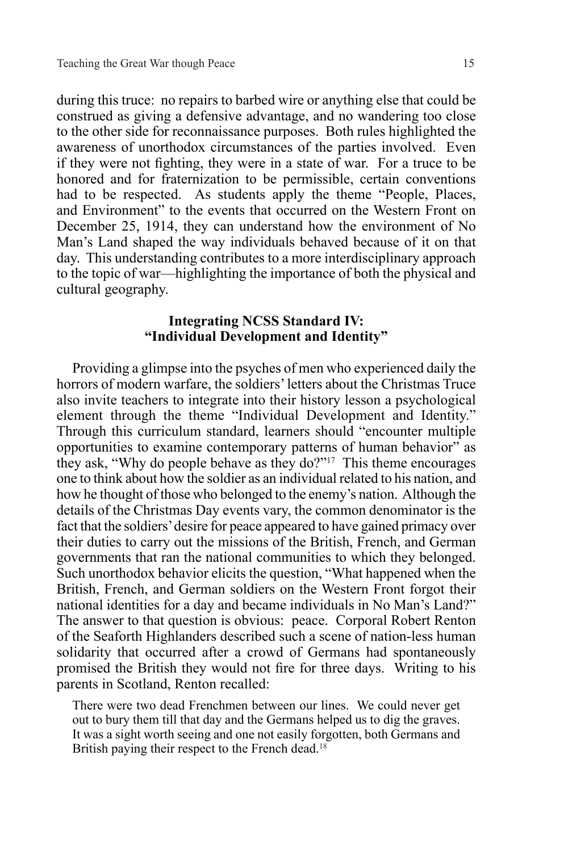during this truce: no repairs to barbed wire or anything else that could be construed as giving a defensive advantage, and no wandering too close to the other side for reconnaissance purposes. Both rules highlighted the awareness of unorthodox circumstances of the parties involved. Even if they were not fighting, they were in a state of war. For a truce to be honored and for fraternization to be permissible, certain conventions had to be respected. As students apply the theme "People, Places, and Environment" to the events that occurred on the Western Front on December 25, 1914, they can understand how the environment of No Man's Land shaped the way individuals behaved because of it on that day. This understanding contributes to a more interdisciplinary approach to the topic of war—highlighting the importance of both the physical and cultural geography.

# **Integrating NCSS Standard IV: "Individual Development and Identity"**

Providing a glimpse into the psyches of men who experienced daily the horrors of modern warfare, the soldiers' letters about the Christmas Truce also invite teachers to integrate into their history lesson a psychological element through the theme "Individual Development and Identity." Through this curriculum standard, learners should "encounter multiple opportunities to examine contemporary patterns of human behavior" as they ask, "Why do people behave as they do?"17 This theme encourages one to think about how the soldier as an individual related to his nation, and how he thought of those who belonged to the enemy's nation. Although the details of the Christmas Day events vary, the common denominator is the fact that the soldiers' desire for peace appeared to have gained primacy over their duties to carry out the missions of the British, French, and German governments that ran the national communities to which they belonged. Such unorthodox behavior elicits the question, "What happened when the British, French, and German soldiers on the Western Front forgot their national identities for a day and became individuals in No Man's Land?" The answer to that question is obvious: peace. Corporal Robert Renton of the Seaforth Highlanders described such a scene of nation-less human solidarity that occurred after a crowd of Germans had spontaneously promised the British they would not fire for three days. Writing to his parents in Scotland, Renton recalled:

There were two dead Frenchmen between our lines. We could never get out to bury them till that day and the Germans helped us to dig the graves. It was a sight worth seeing and one not easily forgotten, both Germans and British paying their respect to the French dead.<sup>18</sup>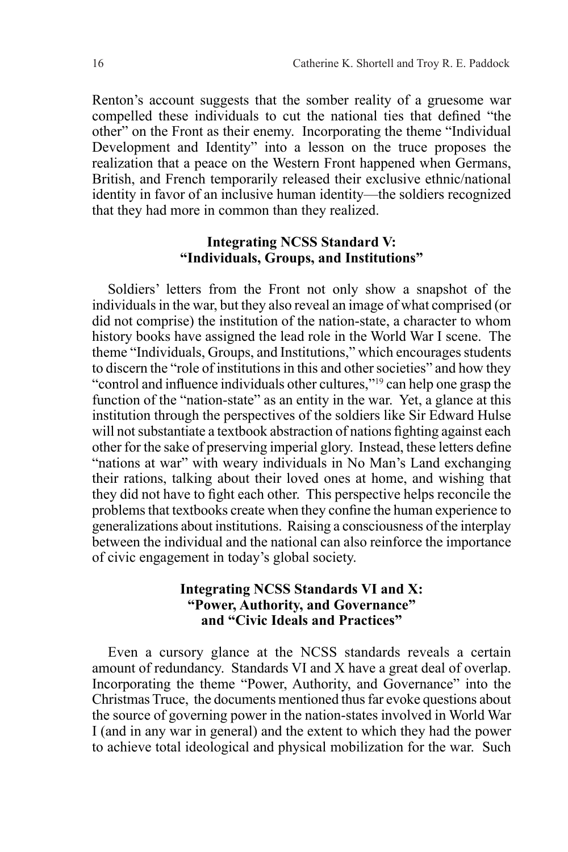Renton's account suggests that the somber reality of a gruesome war compelled these individuals to cut the national ties that defined "the other" on the Front as their enemy. Incorporating the theme "Individual Development and Identity" into a lesson on the truce proposes the realization that a peace on the Western Front happened when Germans, British, and French temporarily released their exclusive ethnic/national identity in favor of an inclusive human identity—the soldiers recognized that they had more in common than they realized.

#### **Integrating NCSS Standard V: "Individuals, Groups, and Institutions"**

Soldiers' letters from the Front not only show a snapshot of the individuals in the war, but they also reveal an image of what comprised (or did not comprise) the institution of the nation-state, a character to whom history books have assigned the lead role in the World War I scene. The theme "Individuals, Groups, and Institutions," which encourages students to discern the "role of institutions in this and other societies" and how they "control and influence individuals other cultures,"19 can help one grasp the function of the "nation-state" as an entity in the war. Yet, a glance at this institution through the perspectives of the soldiers like Sir Edward Hulse will not substantiate a textbook abstraction of nations fighting against each other for the sake of preserving imperial glory. Instead, these letters define "nations at war" with weary individuals in No Man's Land exchanging their rations, talking about their loved ones at home, and wishing that they did not have to fight each other. This perspective helps reconcile the problems that textbooks create when they confine the human experience to generalizations about institutions. Raising a consciousness of the interplay between the individual and the national can also reinforce the importance of civic engagement in today's global society.

## **Integrating NCSS Standards VI and X: "Power, Authority, and Governance" and "Civic Ideals and Practices"**

Even a cursory glance at the NCSS standards reveals a certain amount of redundancy. Standards VI and X have a great deal of overlap. Incorporating the theme "Power, Authority, and Governance" into the Christmas Truce, the documents mentioned thus far evoke questions about the source of governing power in the nation-states involved in World War I (and in any war in general) and the extent to which they had the power to achieve total ideological and physical mobilization for the war. Such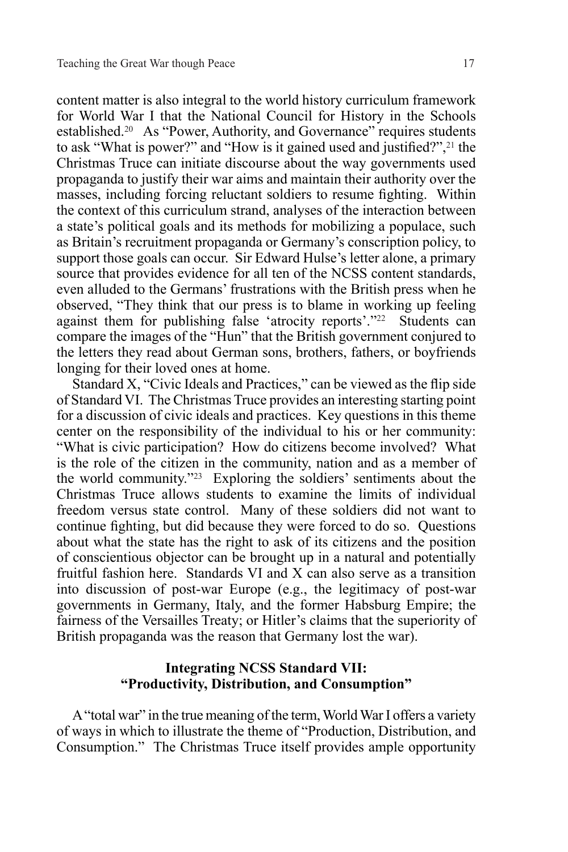content matter is also integral to the world history curriculum framework for World War I that the National Council for History in the Schools established.20 As "Power, Authority, and Governance" requires students to ask "What is power?" and "How is it gained used and justified?",<sup>21</sup> the Christmas Truce can initiate discourse about the way governments used propaganda to justify their war aims and maintain their authority over the masses, including forcing reluctant soldiers to resume fighting. Within the context of this curriculum strand, analyses of the interaction between a state's political goals and its methods for mobilizing a populace, such as Britain's recruitment propaganda or Germany's conscription policy, to support those goals can occur. Sir Edward Hulse's letter alone, a primary source that provides evidence for all ten of the NCSS content standards, even alluded to the Germans' frustrations with the British press when he observed, "They think that our press is to blame in working up feeling against them for publishing false 'atrocity reports'."22 Students can compare the images of the "Hun" that the British government conjured to the letters they read about German sons, brothers, fathers, or boyfriends longing for their loved ones at home.

Standard X, "Civic Ideals and Practices," can be viewed as the flip side of Standard VI. The Christmas Truce provides an interesting starting point for a discussion of civic ideals and practices. Key questions in this theme center on the responsibility of the individual to his or her community: "What is civic participation? How do citizens become involved? What is the role of the citizen in the community, nation and as a member of the world community."23 Exploring the soldiers' sentiments about the Christmas Truce allows students to examine the limits of individual freedom versus state control. Many of these soldiers did not want to continue fighting, but did because they were forced to do so. Questions about what the state has the right to ask of its citizens and the position of conscientious objector can be brought up in a natural and potentially fruitful fashion here. Standards VI and X can also serve as a transition into discussion of post-war Europe (e.g., the legitimacy of post-war governments in Germany, Italy, and the former Habsburg Empire; the fairness of the Versailles Treaty; or Hitler's claims that the superiority of British propaganda was the reason that Germany lost the war).

#### **Integrating NCSS Standard VII: "Productivity, Distribution, and Consumption"**

A "total war" in the true meaning of the term, World War I offers a variety of ways in which to illustrate the theme of "Production, Distribution, and Consumption." The Christmas Truce itself provides ample opportunity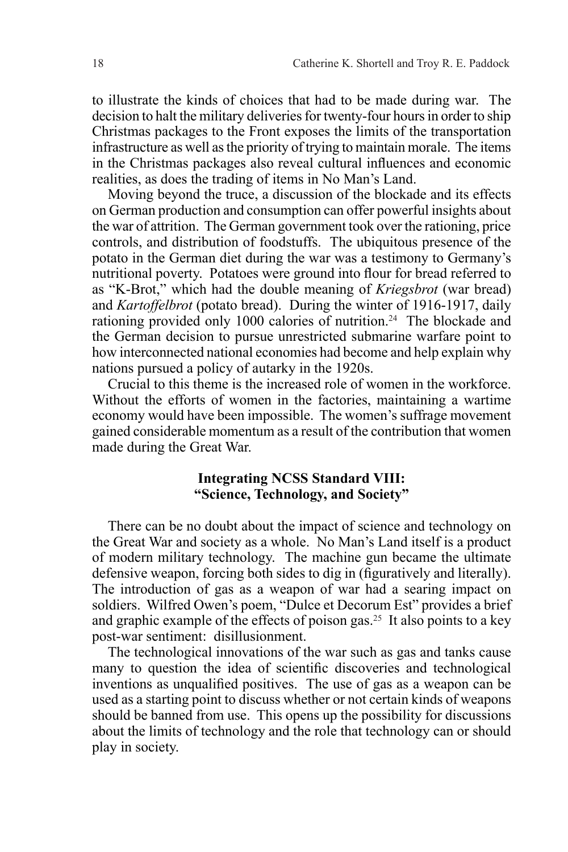to illustrate the kinds of choices that had to be made during war. The decision to halt the military deliveries for twenty-four hours in order to ship Christmas packages to the Front exposes the limits of the transportation infrastructure as well as the priority of trying to maintain morale. The items in the Christmas packages also reveal cultural influences and economic realities, as does the trading of items in No Man's Land.

Moving beyond the truce, a discussion of the blockade and its effects on German production and consumption can offer powerful insights about the war of attrition. The German government took over the rationing, price controls, and distribution of foodstuffs. The ubiquitous presence of the potato in the German diet during the war was a testimony to Germany's nutritional poverty. Potatoes were ground into flour for bread referred to as "K-Brot," which had the double meaning of *Kriegsbrot* (war bread) and *Kartoffelbrot* (potato bread). During the winter of 1916-1917, daily rationing provided only 1000 calories of nutrition.24 The blockade and the German decision to pursue unrestricted submarine warfare point to how interconnected national economies had become and help explain why nations pursued a policy of autarky in the 1920s.

Crucial to this theme is the increased role of women in the workforce. Without the efforts of women in the factories, maintaining a wartime economy would have been impossible. The women's suffrage movement gained considerable momentum as a result of the contribution that women made during the Great War.

# **Integrating NCSS Standard VIII: "Science, Technology, and Society"**

There can be no doubt about the impact of science and technology on the Great War and society as a whole. No Man's Land itself is a product of modern military technology. The machine gun became the ultimate defensive weapon, forcing both sides to dig in (figuratively and literally). The introduction of gas as a weapon of war had a searing impact on soldiers. Wilfred Owen's poem, "Dulce et Decorum Est" provides a brief and graphic example of the effects of poison gas.<sup>25</sup> It also points to a key post-war sentiment: disillusionment.

The technological innovations of the war such as gas and tanks cause many to question the idea of scientific discoveries and technological inventions as unqualified positives. The use of gas as a weapon can be used as a starting point to discuss whether or not certain kinds of weapons should be banned from use. This opens up the possibility for discussions about the limits of technology and the role that technology can or should play in society.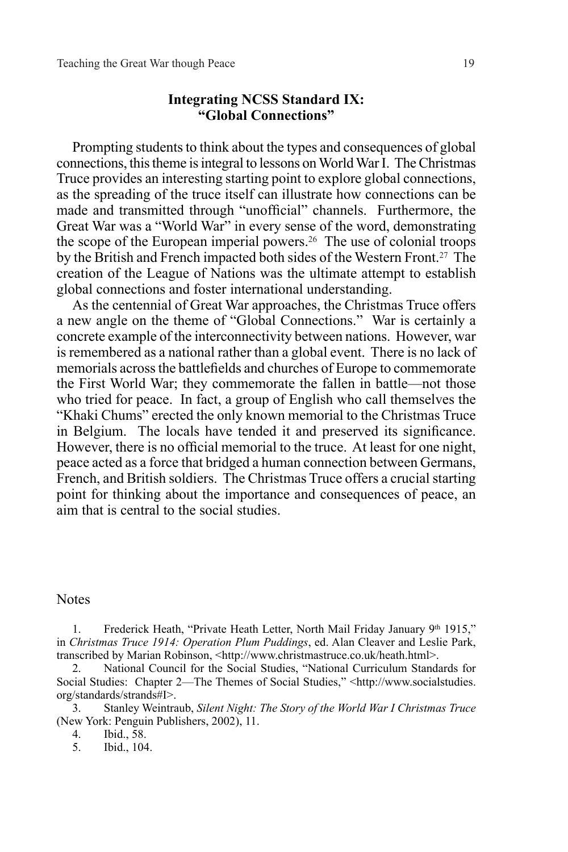#### **Integrating NCSS Standard IX: "Global Connections"**

Prompting students to think about the types and consequences of global connections, this theme is integral to lessons on World War I. The Christmas Truce provides an interesting starting point to explore global connections, as the spreading of the truce itself can illustrate how connections can be made and transmitted through "unofficial" channels. Furthermore, the Great War was a "World War" in every sense of the word, demonstrating the scope of the European imperial powers.26 The use of colonial troops by the British and French impacted both sides of the Western Front.27 The creation of the League of Nations was the ultimate attempt to establish global connections and foster international understanding.

As the centennial of Great War approaches, the Christmas Truce offers a new angle on the theme of "Global Connections." War is certainly a concrete example of the interconnectivity between nations. However, war is remembered as a national rather than a global event. There is no lack of memorials across the battlefields and churches of Europe to commemorate the First World War; they commemorate the fallen in battle—not those who tried for peace. In fact, a group of English who call themselves the "Khaki Chums" erected the only known memorial to the Christmas Truce in Belgium. The locals have tended it and preserved its significance. However, there is no official memorial to the truce. At least for one night, peace acted as a force that bridged a human connection between Germans, French, and British soldiers. The Christmas Truce offers a crucial starting point for thinking about the importance and consequences of peace, an aim that is central to the social studies.

#### Notes

1. Frederick Heath, "Private Heath Letter, North Mail Friday January 9th 1915," in *Christmas Truce 1914: Operation Plum Puddings*, ed. Alan Cleaver and Leslie Park, transcribed by Marian Robinson, <http://www.christmastruce.co.uk/heath.html>.

2. National Council for the Social Studies, "National Curriculum Standards for Social Studies: Chapter 2—The Themes of Social Studies," <http://www.socialstudies. org/standards/strands#I>.

3. Stanley Weintraub, *Silent Night: The Story of the World War I Christmas Truce* (New York: Penguin Publishers, 2002), 11.

4. Ibid., 58.

5. Ibid., 104.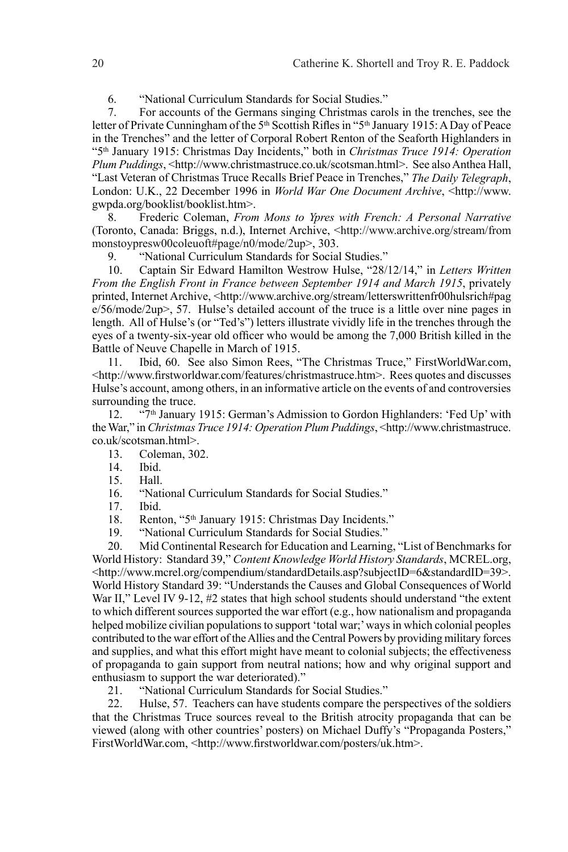6. "National Curriculum Standards for Social Studies."

7. For accounts of the Germans singing Christmas carols in the trenches, see the letter of Private Cunningham of the 5<sup>th</sup> Scottish Rifles in "5<sup>th</sup> January 1915: A Day of Peace in the Trenches" and the letter of Corporal Robert Renton of the Seaforth Highlanders in "5th January 1915: Christmas Day Incidents," both in *Christmas Truce 1914: Operation Plum Puddings*, <http://www.christmastruce.co.uk/scotsman.html>. See also Anthea Hall, "Last Veteran of Christmas Truce Recalls Brief Peace in Trenches," *The Daily Telegraph*, London: U.K., 22 December 1996 in *World War One Document Archive*, <http://www. gwpda.org/booklist/booklist.htm>.

8. Frederic Coleman, *From Mons to Ypres with French: A Personal Narrative*  (Toronto, Canada: Briggs, n.d.), Internet Archive, <http://www.archive.org/stream/from monstoypresw00coleuoft#page/n0/mode/2up>, 303.

9. "National Curriculum Standards for Social Studies."

10. Captain Sir Edward Hamilton Westrow Hulse, "28/12/14," in *Letters Written From the English Front in France between September 1914 and March 1915*, privately printed, Internet Archive, <http://www.archive.org/stream/letterswrittenfr00hulsrich#pag  $e/56$ /mode/2up>, 57. Hulse's detailed account of the truce is a little over nine pages in length. All of Hulse's (or "Ted's") letters illustrate vividly life in the trenches through the eyes of a twenty-six-year old officer who would be among the 7,000 British killed in the Battle of Neuve Chapelle in March of 1915.

11. Ibid, 60. See also Simon Rees, "The Christmas Truce," FirstWorldWar.com, <http://www.firstworldwar.com/features/christmastruce.htm>.Rees quotes and discusses Hulse's account, among others, in an informative article on the events of and controversies surrounding the truce.

12. "7th January 1915: German's Admission to Gordon Highlanders: 'Fed Up' with the War," in *Christmas Truce 1914: Operation Plum Puddings*, <http://www.christmastruce. co.uk/scotsman.html>.

- 13. Coleman, 302.
- Ibid.
- 15. Hall.
- 16. "National Curriculum Standards for Social Studies."
- 17. Ibid.

18. Renton, "5<sup>th</sup> January 1915: Christmas Day Incidents."<br>19. "National Curriculum Standards for Social Studies."

"National Curriculum Standards for Social Studies."

20. Mid Continental Research for Education and Learning, "List of Benchmarks for World History: Standard 39," *Content Knowledge World History Standards*, MCREL.org, <http://www.mcrel.org/compendium/standardDetails.asp?subjectID=6&standardID=39>. World History Standard 39: "Understands the Causes and Global Consequences of World War II," Level IV 9-12, #2 states that high school students should understand "the extent to which different sources supported the war effort (e.g., how nationalism and propaganda helped mobilize civilian populations to support 'total war;' ways in which colonial peoples contributed to the war effort of the Allies and the Central Powers by providing military forces and supplies, and what this effort might have meant to colonial subjects; the effectiveness of propaganda to gain support from neutral nations; how and why original support and enthusiasm to support the war deteriorated)."

21. "National Curriculum Standards for Social Studies."

22. Hulse, 57. Teachers can have students compare the perspectives of the soldiers that the Christmas Truce sources reveal to the British atrocity propaganda that can be viewed (along with other countries' posters) on Michael Duffy's "Propaganda Posters," FirstWorldWar.com, <http://www.firstworldwar.com/posters/uk.htm>.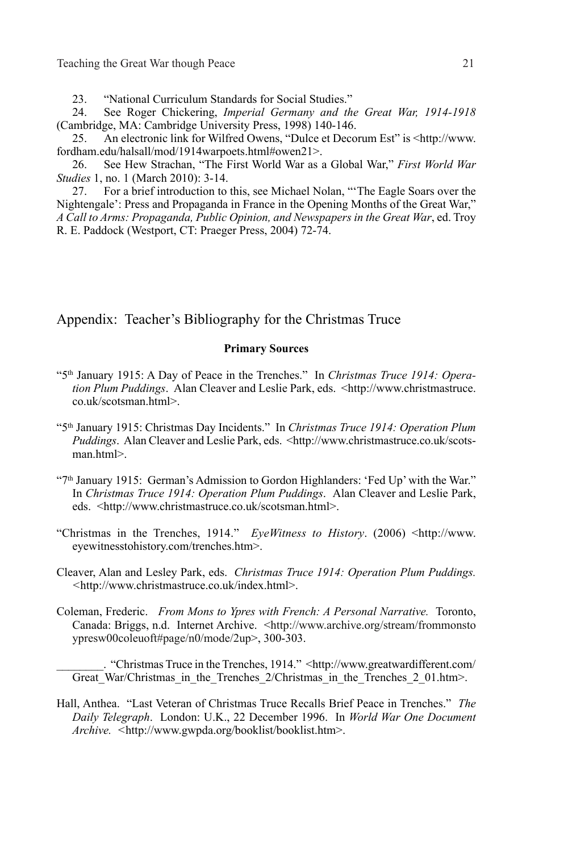23. "National Curriculum Standards for Social Studies."<br>24. See Roger Chickering. *Imperial Germany and th* 

24. See Roger Chickering, *Imperial Germany and the Great War, 1914-1918* (Cambridge, MA: Cambridge University Press, 1998) 140-146.

25. An electronic link for Wilfred Owens, "Dulce et Decorum Est" is <http://www. fordham.edu/halsall/mod/1914warpoets.html#owen21>.

26. See Hew Strachan, "The First World War as a Global War," *First World War Studies* 1, no. 1 (March 2010): 3-14.

27. For a brief introduction to this, see Michael Nolan, "'The Eagle Soars over the Nightengale': Press and Propaganda in France in the Opening Months of the Great War," *A Call to Arms: Propaganda, Public Opinion, and Newspapers in the Great War*, ed. Troy R. E. Paddock (Westport, CT: Praeger Press, 2004) 72-74.

Appendix: Teacher's Bibliography for the Christmas Truce

#### **Primary Sources**

- "5th January 1915: A Day of Peace in the Trenches." In *Christmas Truce 1914: Operation Plum Puddings*.Alan Cleaver and Leslie Park, eds. <http://www.christmastruce. co.uk/scotsman.html>.
- "5th January 1915: Christmas Day Incidents." In *Christmas Truce 1914: Operation Plum Puddings*. Alan Cleaver and Leslie Park, eds. <http://www.christmastruce.co.uk/scotsman.html>.
- "7th January 1915: German's Admission to Gordon Highlanders: 'Fed Up' with the War." In *Christmas Truce 1914: Operation Plum Puddings*.Alan Cleaver and Leslie Park, eds. <http://www.christmastruce.co.uk/scotsman.html>.
- "Christmas in the Trenches, 1914." *EyeWitness to History*. (2006) <http://www. eyewitnesstohistory.com/trenches.htm>.
- Cleaver, Alan and Lesley Park, eds. *Christmas Truce 1914: Operation Plum Puddings. <*http://www.christmastruce.co.uk/index.html>.
- Coleman, Frederic. *From Mons to Ypres with French: A Personal Narrative.* Toronto, Canada: Briggs, n.d. Internet Archive. <http://www.archive.org/stream/frommonsto ypresw00coleuoft#page/n0/mode/2up>, 300-303.

\_\_\_\_\_\_\_\_. "Christmas Truce in the Trenches, 1914." <http://www.greatwardifferent.com/ Great\_War/Christmas\_in\_the\_Trenches\_2/Christmas\_in\_the\_Trenches\_2\_01.htm>.

Hall, Anthea. "Last Veteran of Christmas Truce Recalls Brief Peace in Trenches." *The Daily Telegraph*. London: U.K., 22 December 1996. In *World War One Document Archive. <*http://www.gwpda.org/booklist/booklist.htm>.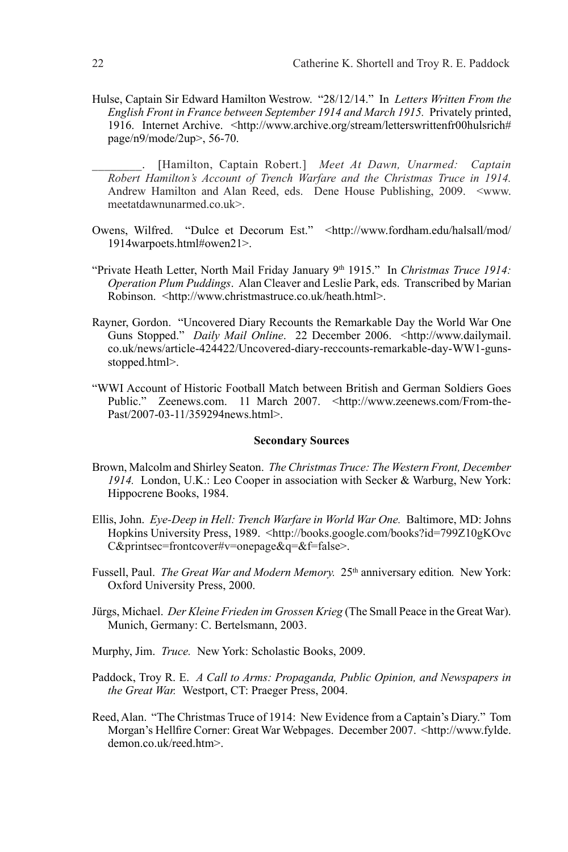- Hulse, Captain Sir Edward Hamilton Westrow. "28/12/14." In *Letters Written From the English Front in France between September 1914 and March 1915.* Privately printed, 1916. Internet Archive. <http://www.archive.org/stream/letterswrittenfr00hulsrich# page/n9/mode/2up>, 56-70.
	- \_\_\_\_\_\_\_\_. [Hamilton, Captain Robert.] *Meet At Dawn, Unarmed: Captain Robert Hamilton's Account of Trench Warfare and the Christmas Truce in 1914.*  Andrew Hamilton and Alan Reed, eds. Dene House Publishing, 2009. <www. meetatdawnunarmed.co.uk>.
- Owens, Wilfred. "Dulce et Decorum Est." <http://www.fordham.edu/halsall/mod/ 1914warpoets.html#owen21>.
- "Private Heath Letter, North Mail Friday January 9<sup>th</sup> 1915." In *Christmas Truce 1914: Operation Plum Puddings*.Alan Cleaver and Leslie Park, eds. Transcribed by Marian Robinson. <http://www.christmastruce.co.uk/heath.html>.
- Rayner, Gordon. "Uncovered Diary Recounts the Remarkable Day the World War One Guns Stopped." *Daily Mail Online*. 22 December 2006. <http://www.dailymail. co.uk/news/article-424422/Uncovered-diary-reccounts-remarkable-day-WW1-gunsstopped.html>.
- "WWI Account of Historic Football Match between British and German Soldiers Goes Public." Zeenews.com. 11 March 2007. <http://www.zeenews.com/From-the-Past/2007-03-11/359294news.html>.

#### **Secondary Sources**

- Brown, Malcolm and Shirley Seaton. *The Christmas Truce: The Western Front, December 1914.* London, U.K.: Leo Cooper in association with Secker & Warburg, New York: Hippocrene Books, 1984.
- Ellis, John. *Eye-Deep in Hell: Trench Warfare in World War One.* Baltimore, MD: Johns Hopkins University Press, 1989. <http://books.google.com/books?id=799Z10gKOvc C&printsec=frontcover#v=onepage&q=&f=false>.
- Fussell, Paul. *The Great War and Modern Memory.* 25<sup>th</sup> anniversary edition. New York: Oxford University Press, 2000.
- Jürgs, Michael. *Der Kleine Frieden im Grossen Krieg* (The Small Peace in the Great War). Munich, Germany: C. Bertelsmann, 2003.
- Murphy, Jim. *Truce.* New York: Scholastic Books, 2009.
- Paddock, Troy R. E. *A Call to Arms: Propaganda, Public Opinion, and Newspapers in the Great War.* Westport, CT: Praeger Press, 2004.
- Reed, Alan. "The Christmas Truce of 1914: New Evidence from a Captain's Diary." Tom Morgan's Hellfire Corner: Great War Webpages. December 2007. <http://www.fylde. demon.co.uk/reed.htm>.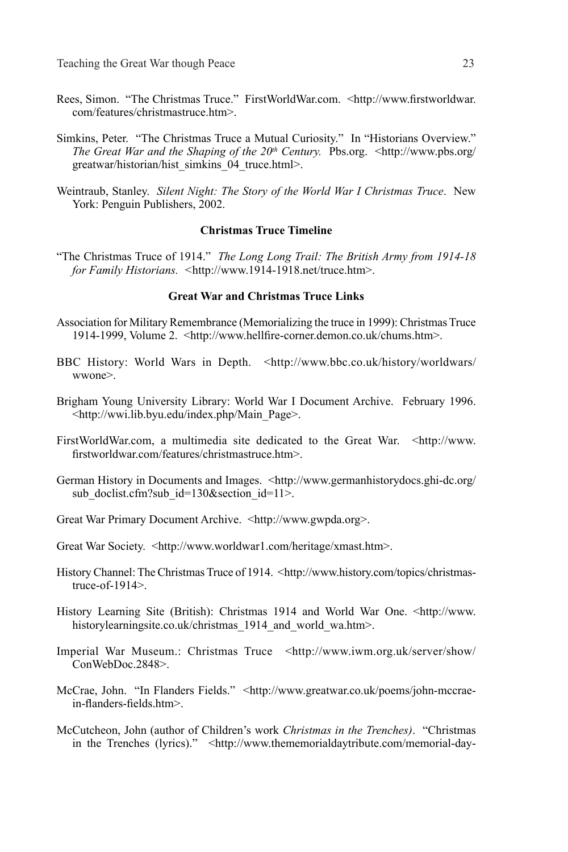- Rees, Simon. "The Christmas Truce." FirstWorldWar.com. <http://www.firstworldwar. com/features/christmastruce.htm>.
- Simkins, Peter. "The Christmas Truce a Mutual Curiosity." In "Historians Overview." *The Great War and the Shaping of the 20<sup>th</sup> Century.* Pbs.org. <http://www.pbs.org/ greatwar/historian/hist\_simkins\_04\_truce.html>.
- Weintraub, Stanley. *Silent Night: The Story of the World War I Christmas Truce*. New York: Penguin Publishers, 2002.

#### **Christmas Truce Timeline**

"The Christmas Truce of 1914." *The Long Long Trail: The British Army from 1914-18 for Family Historians. <*http://www.1914-1918.net/truce.htm>.

#### **Great War and Christmas Truce Links**

- Association for Military Remembrance (Memorializing the truce in 1999): Christmas Truce 1914-1999, Volume 2. <http://www.hellfire-corner.demon.co.uk/chums.htm>.
- BBC History: World Wars in Depth. <http://www.bbc.co.uk/history/worldwars/ wwone>.
- Brigham Young University Library: World War I Document Archive. February 1996. <http://wwi.lib.byu.edu/index.php/Main\_Page>.
- FirstWorldWar.com, a multimedia site dedicated to the Great War. <http://www. firstworldwar.com/features/christmastruce.htm>.
- German History in Documents and Images. <http://www.germanhistorydocs.ghi-dc.org/ sub doclist.cfm?sub  $id=130$ &section  $id=11$ >.
- Great War Primary Document Archive. <http://www.gwpda.org>.
- Great War Society. <http://www.worldwar1.com/heritage/xmast.htm>.
- History Channel: The Christmas Truce of 1914. <http://www.history.com/topics/christmastruce-of-1914>.
- History Learning Site (British): Christmas 1914 and World War One. <http://www. historylearningsite.co.uk/christmas\_1914\_and\_world\_wa.htm>.
- Imperial War Museum.: Christmas Truce <http://www.iwm.org.uk/server/show/ ConWebDoc.2848>.
- McCrae, John. "In Flanders Fields." <http://www.greatwar.co.uk/poems/john-mccraein-flanders-fields.htm>.
- McCutcheon, John (author of Children's work *Christmas in the Trenches)*. "Christmas in the Trenches (lyrics)." <http://www.thememorialdaytribute.com/memorial-day-